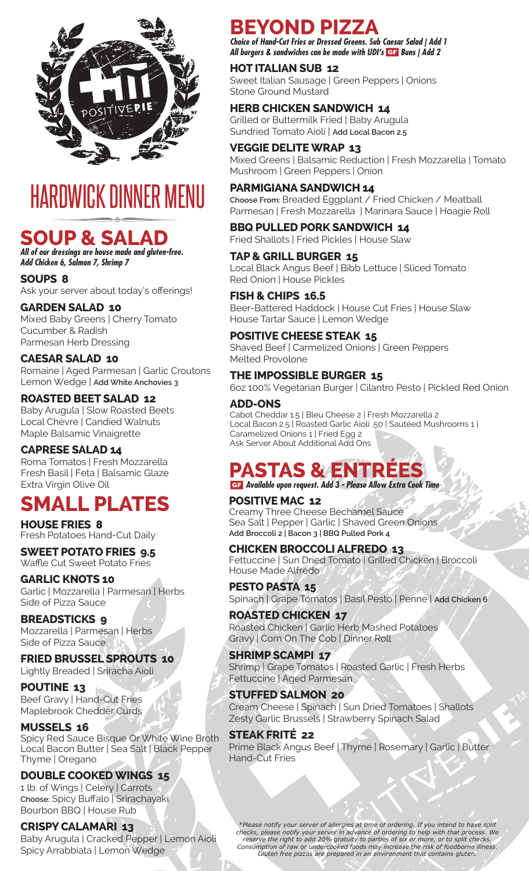

# HARDWICK DINNER MENU

### **SOUP & SALAD**

*All of our dressings are house made and gluten-free. Add Chicken 6, Salmon 7, Shrimp 7*

**SOUPS 8** Ask your server about today's offerings!

### **GARDEN SALAD 10**

Mixed Baby Greens | Cherry Tomato Cucumber & Radish Parmesan Herb Dressing

### **CAESAR SALAD 10**

Romaine | Aged Parmesan | Garlic Croutons Lemon Wedge | **Add White Anchovies 3**

### **ROASTED BEET SALAD 12**

Baby Arugula | Slow Roasted Beets Local Chèvre | Candied Walnuts Maple Balsamic Vinaigrette

#### **CAPRESE SALAD 14**

Roma Tomatos | Fresh Mozzarella Fresh Basil | Feta | Balsamic Glaze Extra Virgin Olive Oil

### **SMALL PLATES**

**HOUSE FRIES 8** Fresh Potatoes Hand-Cut Daily

**SWEET POTATO FRIES 9.5** Waffle Cut Sweet Potato Fries

**GARLIC KNOTS 10** Garlic | Mozzarella | Parmesan | Herbs Side of Pizza Sauce

**BREADSTICKS 9** Mozzarella | Parmesan | Herbs Side of Pizza Sauce

**FRIED BRUSSEL SPROUTS 10** Lightly Breaded | Sriracha Aioli

**POUTINE 13** Beef Gravy | Hand-Cut Fries Maplebrook Chedder Curds

#### **MUSSELS 16**

Spicy Red Sauce Bisque Or White Wine Broth Local Bacon Butter | Sea Salt | Black Pepper Thyme | Oregano

### **DOUBLE COOKED WINGS 15**

1 lb. of Wings | Celery | Carrots **Choose:** Spicy Buffalo | Srirachayaki Bourbon BBQ | House Rub

**CRISPY CALAMARI 13** Baby Arugula | Cracked Pepper | Lemon Aioli Spicy Arrabbiata | Lemon Wedge

### **BEYOND PIZZA**

*Choice of Hand-Cut Fries or Dressed Greens. Sub Caesar Salad | Add 1 All burgers & sandwiches can be made with UDI's Buns | Add 2*

### **HOT ITALIAN SUB 12**

Sweet Italian Sausage | Green Peppers | Onions Stone Ground Mustard

### **HERB CHICKEN SANDWICH 14**

Grilled or Buttermilk Fried | Baby Arugula Sundried Tomato Aioli | **Add Local Bacon 2.5**

### **VEGGIE DELITE WRAP 13**

Mixed Greens | Balsamic Reduction | Fresh Mozzarella | Tomato Mushroom | Green Peppers | Onion

### **PARMIGIANA SANDWICH 14**

**Choose From:** Breaded Eggplant / Fried Chicken / Meatball Parmesan | Fresh Mozzarella | Marinara Sauce | Hoagie Roll

**BBQ PULLED PORK SANDWICH 14** Fried Shallots | Fried Pickles | House Slaw

#### **TAP & GRILL BURGER 15**

Local Black Angus Beef | Bibb Lettuce | Sliced Tomato Red Onion | House Pickles

### **FISH & CHIPS 16.5**

Beer-Battered Haddock | House Cut Fries | House Slaw House Tartar Sauce | Lemon Wedge

#### **POSITIVE CHEESE STEAK 15**

Shaved Beef | Carmelized Onions | Green Peppers Melted Provolone

#### **THE IMPOSSIBLE BURGER 15**

6oz 100% Vegetarian Burger | Cilantro Pesto | Pickled Red Onion

### **ADD-ONS**

Cabot Cheddar 1.5 | Bleu Cheese 2 | Fresh Mozzarella 2 Local Bacon 2.5 | Roasted Garlic Aioli .50 | Sautéed Mushrooms 1 | Caramelized Onions 1 | Fried Egg 2 Ask Server About Additional Add Ons

### **PASTAS & ENT**

 *Available upon request. Add 3 - Please Allow Extra Cook Time*

#### **POSITIVE MAC 12**

Creamy Three Cheese Béchamel Sauce Sea Salt | Pepper | Garlic | Shaved Green Onions **Add Broccoli 2 | Bacon 3 | BBQ Pulled Pork 4**

#### **CHICKEN BROCCOLI ALFREDO 13**

Fettuccine | Sun Dried Tomato | Grilled Chicken | Broccoli House Made Alfredo

**PESTO PASTA 15** Spinach | Grape Tomatos | Basil Pesto | Penne | **Add Chicken 6**

**ROASTED CHICKEN 17** Roasted Chicken | Garlic Herb Mashed Potatoes Gravy | Corn On The Cob | Dinner Roll

**SHRIMP SCAMPI 17** Shrimp | Grape Tomatos | Roasted Garlic | Fresh Herbs Fettuccine | Aged Parmesan

**STUFFED SALMON 20** Cream Cheese | Spinach | Sun Dried Tomatoes | Shallots Zesty Garlic Brussels | Strawberry Spinach Salad

#### **STEAK FRITÉ 22** Prime Black Angus Beef | Thyme | Rosemary | Garlic | Butter Hand-Cut Fries

*\*Please notify your server of allergies at time of ordering. If you intend to have split checks, please notify your server in advance of ordering to help with that process. We reserve the right to add 20% gratuity to parties of six or more, or to split checks. Consumption of raw or undercooked foods may increase the risk of foodborne illness. Gluten free pizzas are prepared in an environment that contains gluten.*